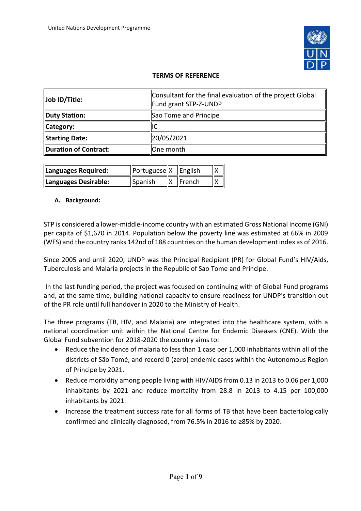

# **TERMS OF REFERENCE**

| Job ID/Title:         | Consultant for the final evaluation of the project Global<br>Fund grant STP-Z-UNDP |
|-----------------------|------------------------------------------------------------------------------------|
| Duty Station:         | Sao Tome and Principe                                                              |
| Category:             | IІC                                                                                |
| Starting Date:        | 20/05/2021                                                                         |
| Duration of Contract: | One month                                                                          |

| Languages Required:  | Portuguese  X   English |                |  |
|----------------------|-------------------------|----------------|--|
| Languages Desirable: | Spanish                 | <b>IFrench</b> |  |

### **A. Background:**

STP is considered a lower-middle-income country with an estimated Gross National Income (GNI) per capita of \$1,670 in 2014. Population below the poverty line was estimated at 66% in 2009 (WFS) and the country ranks 142nd of 188 countries on the human development index as of 2016.

Since 2005 and until 2020, UNDP was the Principal Recipient (PR) for Global Fund's HIV/Aids, Tuberculosis and Malaria projects in the Republic of Sao Tome and Principe.

In the last funding period, the project was focused on continuing with of Global Fund programs and, at the same time, building national capacity to ensure readiness for UNDP's transition out of the PR role until full handover in 2020 to the Ministry of Health.

The three programs (TB, HIV, and Malaria) are integrated into the healthcare system, with a national coordination unit within the National Centre for Endemic Diseases (CNE). With the Global Fund subvention for 2018-2020 the country aims to:

- Reduce the incidence of malaria to less than 1 case per 1,000 inhabitants within all of the districts of São Tomé, and record 0 (zero) endemic cases within the Autonomous Region of Príncipe by 2021.
- Reduce morbidity among people living with HIV/AIDS from 0.13 in 2013 to 0.06 per 1,000 inhabitants by 2021 and reduce mortality from 28.8 in 2013 to 4.15 per 100,000 inhabitants by 2021.
- Increase the treatment success rate for all forms of TB that have been bacteriologically confirmed and clinically diagnosed, from 76.5% in 2016 to ≥85% by 2020.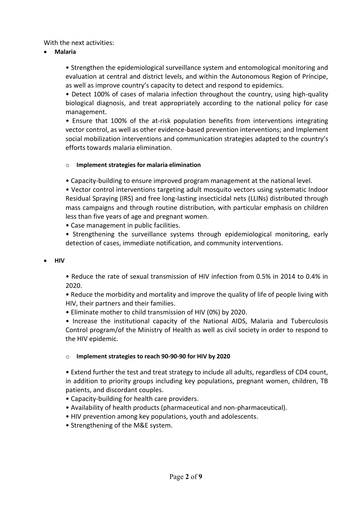## With the next activities:

• **Malaria**

• Strengthen the epidemiological surveillance system and entomological monitoring and evaluation at central and district levels, and within the Autonomous Region of Príncipe, as well as improve country's capacity to detect and respond to epidemics.

• Detect 100% of cases of malaria infection throughout the country, using high-quality biological diagnosis, and treat appropriately according to the national policy for case management.

• Ensure that 100% of the at-risk population benefits from interventions integrating vector control, as well as other evidence-based prevention interventions; and Implement social mobilization interventions and communication strategies adapted to the country's efforts towards malaria elimination.

### o **Implement strategies for malaria elimination**

• Capacity-building to ensure improved program management at the national level.

• Vector control interventions targeting adult mosquito vectors using systematic Indoor Residual Spraying (IRS) and free long-lasting insecticidal nets (LLINs) distributed through mass campaigns and through routine distribution, with particular emphasis on children less than five years of age and pregnant women.

• Case management in public facilities.

• Strengthening the surveillance systems through epidemiological monitoring, early detection of cases, immediate notification, and community interventions.

### • **HIV**

• Reduce the rate of sexual transmission of HIV infection from 0.5% in 2014 to 0.4% in 2020.

• Reduce the morbidity and mortality and improve the quality of life of people living with HIV, their partners and their families.

• Eliminate mother to child transmission of HIV (0%) by 2020.

• Increase the institutional capacity of the National AIDS, Malaria and Tuberculosis Control program/of the Ministry of Health as well as civil society in order to respond to the HIV epidemic.

### o **Implement strategies to reach 90-90-90 for HIV by 2020**

• Extend further the test and treat strategy to include all adults, regardless of CD4 count, in addition to priority groups including key populations, pregnant women, children, TB patients, and discordant couples.

- Capacity-building for health care providers.
- Availability of health products (pharmaceutical and non-pharmaceutical).
- HIV prevention among key populations, youth and adolescents.
- Strengthening of the M&E system.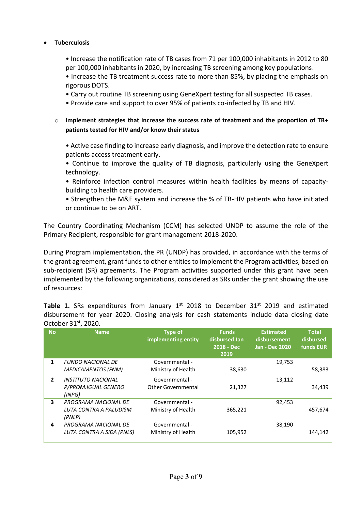## • **Tuberculosis**

• Increase the notification rate of TB cases from 71 per 100,000 inhabitants in 2012 to 80 per 100,000 inhabitants in 2020, by increasing TB screening among key populations.

• Increase the TB treatment success rate to more than 85%, by placing the emphasis on rigorous DOTS.

- Carry out routine TB screening using GeneXpert testing for all suspected TB cases.
- Provide care and support to over 95% of patients co-infected by TB and HIV.
- o **Implement strategies that increase the success rate of treatment and the proportion of TB+ patients tested for HIV and/or know their status**

• Active case finding to increase early diagnosis, and improve the detection rate to ensure patients access treatment early.

• Continue to improve the quality of TB diagnosis, particularly using the GeneXpert technology.

• Reinforce infection control measures within health facilities by means of capacitybuilding to health care providers.

• Strengthen the M&E system and increase the % of TB-HIV patients who have initiated or continue to be on ART.

The Country Coordinating Mechanism (CCM) has selected UNDP to assume the role of the Primary Recipient, responsible for grant management 2018-2020.

During Program implementation, the PR (UNDP) has provided, in accordance with the terms of the grant agreement, grant funds to other entities to implement the Program activities, based on sub-recipient (SR) agreements. The Program activities supported under this grant have been implemented by the following organizations, considered as SRs under the grant showing the use of resources:

**Table 1.** SRs expenditures from January 1<sup>st</sup> 2018 to December 31<sup>st</sup> 2019 and estimated disbursement for year 2020. Closing analysis for cash statements include data closing date October 31st, 2020.

| <b>No</b>      | <b>Name</b>                      | <b>Type of</b><br>implementing entity | <b>Funds</b><br>disbursed Jan<br>$2018 - Dec$<br>2019 | <b>Estimated</b><br>disbursement<br><b>Jan - Dec 2020</b> | <b>Total</b><br>disbursed<br><b>funds EUR</b> |
|----------------|----------------------------------|---------------------------------------|-------------------------------------------------------|-----------------------------------------------------------|-----------------------------------------------|
| 1              | <b>FUNDO NACIONAL DE</b>         | Governmental -                        |                                                       | 19,753                                                    |                                               |
|                | <b>MEDICAMENTOS (FNM)</b>        | Ministry of Health                    | 38,630                                                |                                                           | 58,383                                        |
| $\overline{2}$ | <b>INSTITUTO NACIONAL</b>        | Governmental -                        |                                                       | 13,112                                                    |                                               |
|                | P/PROM.IGUAL GENERO<br>(INPG)    | Other Governmental                    | 21,327                                                |                                                           | 34,439                                        |
| 3              | PROGRAMA NACIONAL DE             | Governmental -                        |                                                       | 92,453                                                    |                                               |
|                | LUTA CONTRA A PALUDISM<br>(PNLP) | Ministry of Health                    | 365,221                                               |                                                           | 457,674                                       |
| 4              | PROGRAMA NACIONAL DE             | Governmental -                        |                                                       | 38,190                                                    |                                               |
|                | LUTA CONTRA A SIDA (PNLS)        | Ministry of Health                    | 105,952                                               |                                                           | 144.142                                       |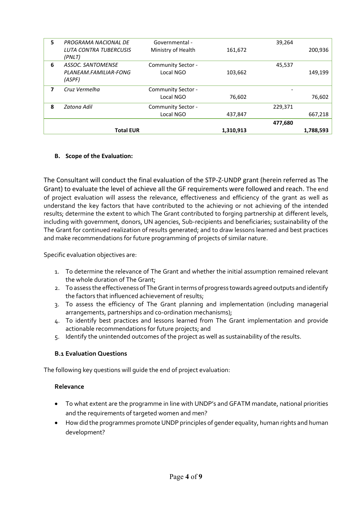| 5 | PROGRAMA NACIONAL DE             | Governmental -     |           | 39,264  |           |
|---|----------------------------------|--------------------|-----------|---------|-----------|
|   | LUTA CONTRA TUBERCUSIS<br>(PNLT) | Ministry of Health | 161,672   |         | 200,936   |
| 6 | <b>ASSOC. SANTOMENSE</b>         | Community Sector - |           | 45,537  |           |
|   | PLANEAM.FAMILIAR-FONG<br>(ASPF)  | Local NGO          | 103,662   |         | 149,199   |
| 7 | Cruz Vermelha                    | Community Sector - |           |         |           |
|   |                                  | Local NGO          | 76,602    |         | 76,602    |
| 8 | Zatona Adil                      | Community Sector - |           | 229,371 |           |
|   |                                  | Local NGO          | 437,847   |         | 667,218   |
|   |                                  |                    |           | 477,680 |           |
|   | <b>Total EUR</b>                 |                    | 1,310,913 |         | 1,788,593 |

# **B. Scope of the Evaluation:**

The Consultant will conduct the final evaluation of the STP-Z-UNDP grant (herein referred as The Grant) to evaluate the level of achieve all the GF requirements were followed and reach. The end of project evaluation will assess the relevance, effectiveness and efficiency of the grant as well as understand the key factors that have contributed to the achieving or not achieving of the intended results; determine the extent to which The Grant contributed to forging partnership at different levels, including with government, donors, UN agencies, Sub-recipients and beneficiaries; sustainability of the The Grant for continued realization of results generated; and to draw lessons learned and best practices and make recommendations for future programming of projects of similar nature.

Specific evaluation objectives are:

- 1. To determine the relevance of The Grant and whether the initial assumption remained relevant the whole duration of The Grant;
- 2. To assess the effectiveness of The Grant in terms of progress towards agreed outputs and identify the factors that influenced achievement of results;
- 3. To assess the efficiency of The Grant planning and implementation (including managerial arrangements, partnerships and co-ordination mechanisms);
- 4. To identify best practices and lessons learned from The Grant implementation and provide actionable recommendations for future projects; and
- 5. Identify the unintended outcomes of the project as well as sustainability of the results.

### **B.1 Evaluation Questions**

The following key questions will guide the end of project evaluation:

### **Relevance**

- To what extent are the programme in line with UNDP's and GFATM mandate, national priorities and the requirements of targeted women and men?
- How did the programmes promote UNDP principles of gender equality, human rights and human development?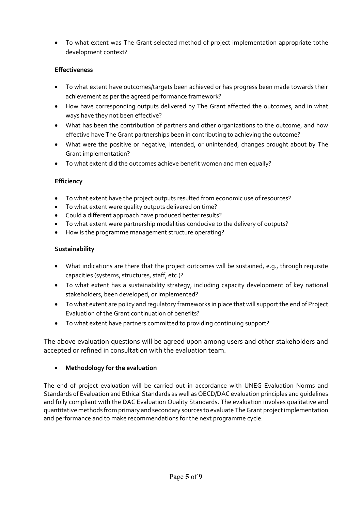• To what extent was The Grant selected method of project implementation appropriate tothe development context?

# **Effectiveness**

- To what extent have outcomes/targets been achieved or has progress been made towards their achievement as per the agreed performance framework?
- How have corresponding outputs delivered by The Grant affected the outcomes, and in what ways have they not been effective?
- What has been the contribution of partners and other organizations to the outcome, and how effective have The Grant partnerships been in contributing to achieving the outcome?
- What were the positive or negative, intended, or unintended, changes brought about by The Grant implementation?
- To what extent did the outcomes achieve benefit women and men equally?

## **Efficiency**

- To what extent have the project outputs resulted from economic use of resources?
- To what extent were quality outputs delivered on time?
- Could a different approach have produced better results?
- To what extent were partnership modalities conducive to the delivery of outputs?
- How is the programme management structure operating?

## **Sustainability**

- What indications are there that the project outcomes will be sustained, e.g., through requisite capacities (systems, structures, staff, etc.)?
- To what extent has a sustainability strategy, including capacity development of key national stakeholders, been developed, or implemented?
- To what extent are policy and regulatory frameworks in place that will support the end of Project Evaluation of the Grant continuation of benefits?
- To what extent have partners committed to providing continuing support?

The above evaluation questions will be agreed upon among users and other stakeholders and accepted or refined in consultation with the evaluation team.

# • **Methodology for the evaluation**

The end of project evaluation will be carried out in accordance with UNEG Evaluation Norms and Standards of Evaluation and Ethical Standards as well as OECD/DAC evaluation principles and guidelines and fully compliant with the DAC Evaluation Quality Standards. The evaluation involves qualitative and quantitative methods from primary and secondary sources to evaluate The Grant project implementation and performance and to make recommendations for the next programme cycle.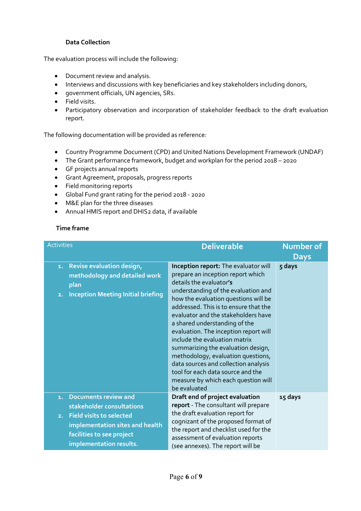### **Data Collection**

The evaluation process will include the following:

- Document review and analysis.
- Interviews and discussions with key beneficiaries and key stakeholders including donors,
- government officials, UN agencies, SRs.
- Field visits.
- Participatory observation and incorporation of stakeholder feedback to the draft evaluation report.

The following documentation will be provided as reference:

- Country Programme Document (CPD) and United Nations Development Framework (UNDAF)
- The Grant performance framework, budget and workplan for the period 2018 2020
- GF projects annual reports
- Grant Agreement, proposals, progress reports
- Field monitoring reports
- Global Fund grant rating for the period 2018 2020
- M&E plan for the three diseases
- Annual HMIS report and DHIS2 data, if available

### **Time frame**

| <b>Activities</b>                                                                                                                                                       | <b>Deliverable</b>                                                                                                                                                                                                                                                                                                                                                                                                                                                                                                                                                                             | <b>Number of</b><br><b>Days</b> |
|-------------------------------------------------------------------------------------------------------------------------------------------------------------------------|------------------------------------------------------------------------------------------------------------------------------------------------------------------------------------------------------------------------------------------------------------------------------------------------------------------------------------------------------------------------------------------------------------------------------------------------------------------------------------------------------------------------------------------------------------------------------------------------|---------------------------------|
| Revise evaluation design,<br>1.<br>methodology and detailed work<br>plan<br><b>Inception Meeting Initial briefing</b><br>2.                                             | Inception report: The evaluator will<br>prepare an inception report which<br>details the evaluator's<br>understanding of the evaluation and<br>how the evaluation questions will be<br>addressed. This is to ensure that the<br>evaluator and the stakeholders have<br>a shared understanding of the<br>evaluation. The inception report will<br>include the evaluation matrix<br>summarizing the evaluation design,<br>methodology, evaluation questions,<br>data sources and collection analysis<br>tool for each data source and the<br>measure by which each question will<br>be evaluated | 5 days                          |
| <b>Documents review and</b><br>1.<br>stakeholder consultations<br><b>Field visits to selected</b><br>2.<br>implementation sites and health<br>facilities to see project | Draft end of project evaluation<br>report - The consultant will prepare<br>the draft evaluation report for<br>cognizant of the proposed format of<br>the report and checklist used for the<br>assessment of evaluation reports                                                                                                                                                                                                                                                                                                                                                                 | 15 days                         |
| implementation results.                                                                                                                                                 | (see annexes). The report will be                                                                                                                                                                                                                                                                                                                                                                                                                                                                                                                                                              |                                 |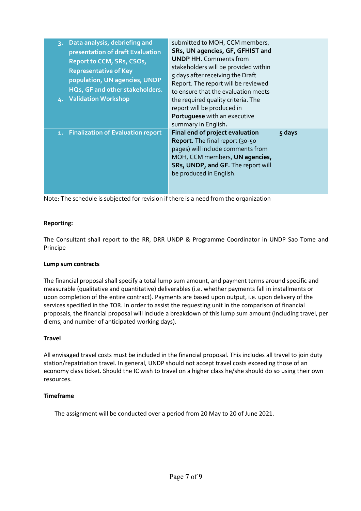| Data analysis, debriefing and<br>$\mathbf{R}$<br>presentation of draft Evaluation<br>Report to CCM, SRs, CSOs,<br><b>Representative of Key</b><br>population, UN agencies, UNDP<br>HQs, GF and other stakeholders.<br>4. Validation Workshop | submitted to MOH, CCM members,<br>SRs, UN agencies, GF, GFHIST and<br><b>UNDP HH.</b> Comments from<br>stakeholders will be provided within<br>5 days after receiving the Draft<br>Report. The report will be reviewed<br>to ensure that the evaluation meets<br>the required quality criteria. The<br>report will be produced in<br>Portuguese with an executive<br>summary in English. |        |
|----------------------------------------------------------------------------------------------------------------------------------------------------------------------------------------------------------------------------------------------|------------------------------------------------------------------------------------------------------------------------------------------------------------------------------------------------------------------------------------------------------------------------------------------------------------------------------------------------------------------------------------------|--------|
| 1. Finalization of Evaluation report                                                                                                                                                                                                         | Final end of project evaluation<br>Report. The final report (30-50<br>pages) will include comments from<br>MOH, CCM members, UN agencies,<br>SRs, UNDP, and GF. The report will<br>be produced in English.                                                                                                                                                                               | 5 days |

Note: The schedule is subjected for revision if there is a need from the organization

### **Reporting:**

The Consultant shall report to the RR, DRR UNDP & Programme Coordinator in UNDP Sao Tome and Principe

### **Lump sum contracts**

The financial proposal shall specify a total lump sum amount, and payment terms around specific and measurable (qualitative and quantitative) deliverables (i.e. whether payments fall in installments or upon completion of the entire contract). Payments are based upon output, i.e. upon delivery of the services specified in the TOR. In order to assist the requesting unit in the comparison of financial proposals, the financial proposal will include a breakdown of this lump sum amount (including travel, per diems, and number of anticipated working days).

### **Travel**

All envisaged travel costs must be included in the financial proposal. This includes all travel to join duty station/repatriation travel. In general, UNDP should not accept travel costs exceeding those of an economy class ticket. Should the IC wish to travel on a higher class he/she should do so using their own resources.

### **Timeframe**

The assignment will be conducted over a period from 20 May to 20 of June 2021.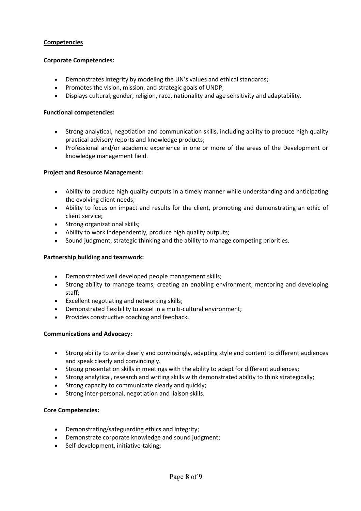#### **Competencies**

#### **Corporate Competencies:**

- Demonstrates integrity by modeling the UN's values and ethical standards;
- Promotes the vision, mission, and strategic goals of UNDP;
- Displays cultural, gender, religion, race, nationality and age sensitivity and adaptability.

#### **Functional competencies:**

- Strong analytical, negotiation and communication skills, including ability to produce high quality practical advisory reports and knowledge products;
- Professional and/or academic experience in one or more of the areas of the Development or knowledge management field.

#### **Project and Resource Management:**

- Ability to produce high quality outputs in a timely manner while understanding and anticipating the evolving client needs;
- Ability to focus on impact and results for the client, promoting and demonstrating an ethic of client service;
- Strong organizational skills;
- Ability to work independently, produce high quality outputs;
- Sound judgment, strategic thinking and the ability to manage competing priorities.

#### **Partnership building and teamwork:**

- Demonstrated well developed people management skills;
- Strong ability to manage teams; creating an enabling environment, mentoring and developing staff;
- Excellent negotiating and networking skills;
- Demonstrated flexibility to excel in a multi-cultural environment;
- Provides constructive coaching and feedback.

#### **Communications and Advocacy:**

- Strong ability to write clearly and convincingly, adapting style and content to different audiences and speak clearly and convincingly.
- Strong presentation skills in meetings with the ability to adapt for different audiences;
- Strong analytical, research and writing skills with demonstrated ability to think strategically;
- Strong capacity to communicate clearly and quickly;
- Strong inter-personal, negotiation and liaison skills.

#### **Core Competencies:**

- Demonstrating/safeguarding ethics and integrity;
- Demonstrate corporate knowledge and sound judgment;
- Self-development, initiative-taking;